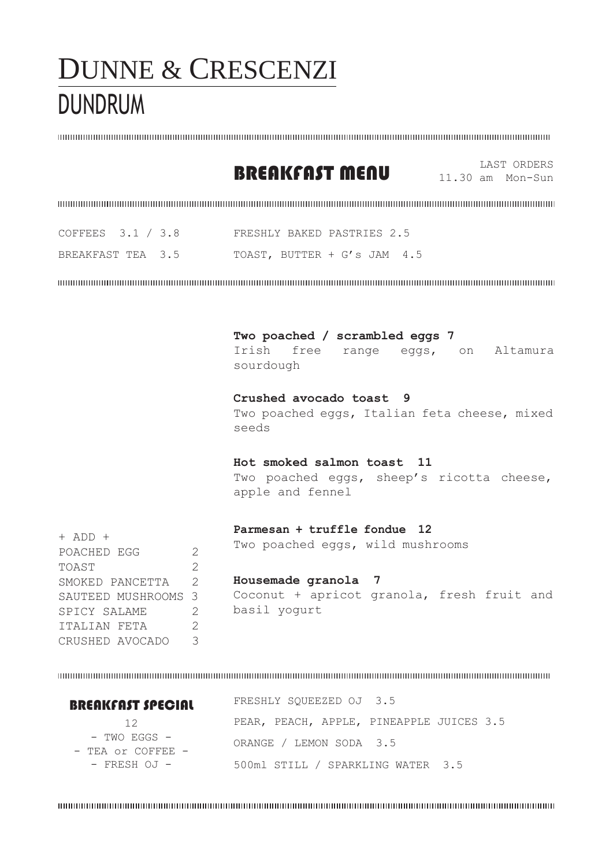## DUNNE & CRESCENZI DUNDRUM

### BREAKFAST MENU 11.30 am Mon-Sun

11.30 am Mon-Sun

| COFFEES $3.1 / 3.8$ |  | FRESHLY BAKED PASTRIES 2.5  |  |  |
|---------------------|--|-----------------------------|--|--|
| BREAKFAST TEA 3.5   |  | TOAST, BUTTER + G's JAM 4.5 |  |  |

**Two poached / scrambled eggs 7**

Irish free range eggs, on Altamura sourdough **Crushed avocado toast 9** Two poached eggs, Italian feta cheese, mixed seeds **Hot smoked salmon toast 11** Two poached eggs, sheep's ricotta cheese, apple and fennel

| $+$ ADD $+$         |               | Parmesan + truffle fondue 12               |
|---------------------|---------------|--------------------------------------------|
| POACHED EGG         | $\mathcal{D}$ | Two poached eggs, wild mushrooms           |
| TOAST               |               |                                            |
| SMOKED PANCETTA     | $\mathcal{P}$ | Housemade granola 7                        |
| SAUTEED MUSHROOMS 3 |               | Coconut + apricot granola, fresh fruit and |
| SPICY SALAME        | $\mathcal{P}$ | basil yogurt                               |
| ITALIAN FETA        |               |                                            |
| CRUSHED AVOCADO     |               |                                            |

| <b>BREAKFAST SPECIAL</b>              | FRESHLY SQUEEZED OJ 3.5                  |
|---------------------------------------|------------------------------------------|
| 12                                    | PEAR, PEACH, APPLE, PINEAPPLE JUICES 3.5 |
| - TWO EGGS -<br>$-$ TEA or COFFEE $-$ | ORANGE / LEMON SODA 3.5                  |
| $-$ FRESH OJ $-$                      | 500ml STILL / SPARKLING WATER 3.5        |